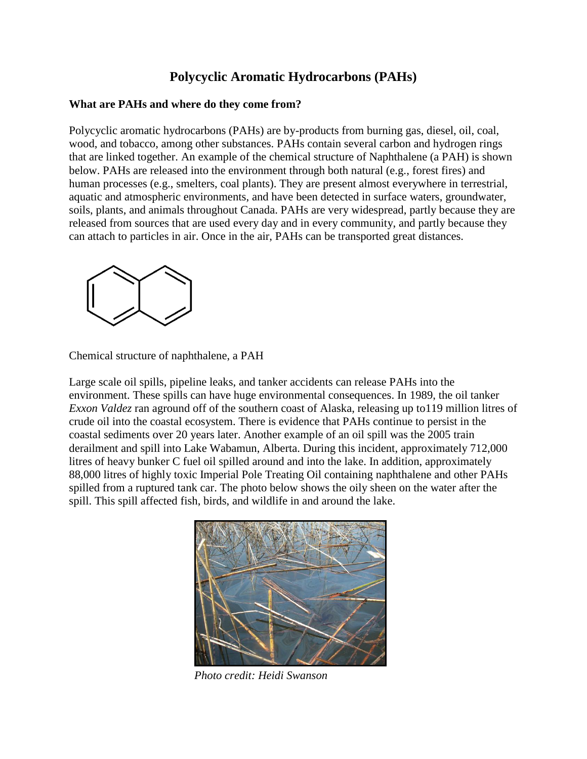## **Polycyclic Aromatic Hydrocarbons (PAHs)**

## **What are PAHs and where do they come from?**

Polycyclic aromatic hydrocarbons (PAHs) are by-products from burning gas, diesel, oil, coal, wood, and tobacco, among other substances. PAHs contain several carbon and hydrogen rings that are linked together. An example of the chemical structure of Naphthalene (a PAH) is shown below. PAHs are released into the environment through both natural (e.g., forest fires) and human processes (e.g., smelters, coal plants). They are present almost everywhere in terrestrial, aquatic and atmospheric environments, and have been detected in surface waters, groundwater, soils, plants, and animals throughout Canada. PAHs are very widespread, partly because they are released from sources that are used every day and in every community, and partly because they can attach to particles in air. Once in the air, PAHs can be transported great distances.



Chemical structure of naphthalene, a PAH

Large scale oil spills, pipeline leaks, and tanker accidents can release PAHs into the environment. These spills can have huge environmental consequences. In 1989, the oil tanker *Exxon Valdez* ran aground off of the southern coast of Alaska, releasing up to119 million litres of crude oil into the coastal ecosystem. There is evidence that PAHs continue to persist in the coastal sediments over 20 years later. Another example of an oil spill was the 2005 train derailment and spill into Lake Wabamun, Alberta. During this incident, approximately 712,000 litres of heavy bunker C [fuel oil](http://en.wikipedia.org/wiki/Fuel_oil) spilled around and into the lake. In addition, approximately 88,000 litres of highly toxic Imperial Pole Treating Oil containing [naphthalene](http://en.wikipedia.org/wiki/Naphthalene) and other PAHs spilled from a ruptured tank car. The photo below shows the oily sheen on the water after the spill. This spill affected fish, birds, and wildlife in and around the lake.



*Photo credit: Heidi Swanson*